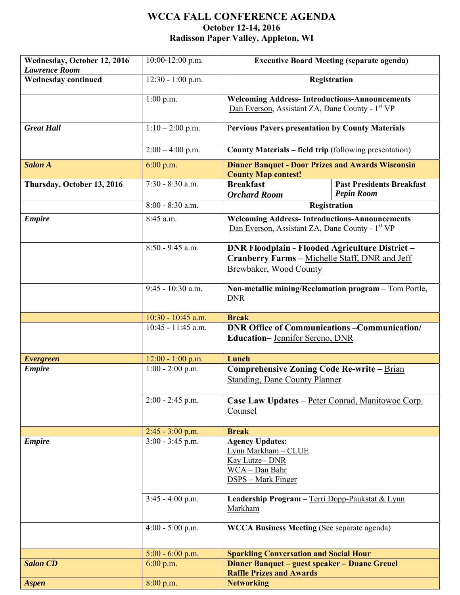## **WCCA FALL CONFERENCE AGENDA October 12-14, 2016 Radisson Paper Valley, Appleton, WI**

| Wednesday, October 12, 2016<br><b>Lawrence Room</b> | $10:00-12:00$ p.m.   | <b>Executive Board Meeting (separate agenda)</b>                                                                                   |  |
|-----------------------------------------------------|----------------------|------------------------------------------------------------------------------------------------------------------------------------|--|
| <b>Wednesday continued</b>                          | $12:30 - 1:00$ p.m.  | Registration                                                                                                                       |  |
|                                                     | $1:00$ p.m.          | <b>Welcoming Address-Introductions-Announcements</b><br>Dan Everson, Assistant ZA, Dane County - 1 <sup>st</sup> VP                |  |
| <b>Great Hall</b>                                   | $1:10-2:00$ p.m.     | <b>Pervious Pavers presentation by County Materials</b>                                                                            |  |
|                                                     | $2:00 - 4:00$ p.m.   | <b>County Materials – field trip</b> (following presentation)                                                                      |  |
| <b>Salon A</b>                                      | 6:00 p.m.            | <b>Dinner Banquet - Door Prizes and Awards Wisconsin</b><br><b>County Map contest!</b>                                             |  |
| Thursday, October 13, 2016                          | $7:30 - 8:30$ a.m.   | <b>Past Presidents Breakfast</b><br><b>Breakfast</b><br><b>Pepin Room</b><br><b>Orchard Room</b>                                   |  |
|                                                     | $8:00 - 8:30$ a.m.   | Registration                                                                                                                       |  |
| <b>Empire</b>                                       | 8:45 a.m.            | <b>Welcoming Address-Introductions-Announcements</b><br>Dan Everson, Assistant ZA, Dane County - 1 <sup>st</sup> VP                |  |
|                                                     | $8:50 - 9:45$ a.m.   | <b>DNR Floodplain - Flooded Agriculture District -</b><br>Cranberry Farms - Michelle Staff, DNR and Jeff<br>Brewbaker, Wood County |  |
|                                                     | $9:45 - 10:30$ a.m.  | Non-metallic mining/Reclamation program - Tom Portle,<br><b>DNR</b>                                                                |  |
|                                                     | $10:30 - 10:45$ a.m. | <b>Break</b>                                                                                                                       |  |
|                                                     | $10:45 - 11:45$ a.m. | <b>DNR Office of Communications - Communication/</b><br><b>Education-Jennifer Sereno, DNR</b>                                      |  |
| <b>Evergreen</b>                                    | $12:00 - 1:00$ p.m.  | Lunch                                                                                                                              |  |
| <b>Empire</b>                                       | $1:00 - 2:00$ p.m.   | <b>Comprehensive Zoning Code Re-write - Brian</b><br><b>Standing, Dane County Planner</b>                                          |  |
|                                                     | $2:00 - 2:45$ p.m.   | Case Law Updates - Peter Conrad, Manitowoc Corp.<br>Counsel                                                                        |  |
|                                                     | $2:45 - 3:00$ p.m.   | <b>Break</b>                                                                                                                       |  |
| <b>Empire</b>                                       | $3:00 - 3:45$ p.m.   | <b>Agency Updates:</b><br>Lynn Markham - CLUE<br>Kay Lutze - DNR<br>WCA - Dan Bahr<br><b>DSPS</b> – Mark Finger                    |  |
|                                                     | $3:45 - 4:00$ p.m.   | Leadership Program - Terri Dopp-Paukstat & Lynn<br>Markham                                                                         |  |
|                                                     | $4:00 - 5:00$ p.m.   | <b>WCCA Business Meeting (See separate agenda)</b>                                                                                 |  |
|                                                     | $5:00 - 6:00$ p.m.   | <b>Sparkling Conversation and Social Hour</b>                                                                                      |  |
| <b>Salon CD</b>                                     | $6:00$ p.m.          | Dinner Banquet – guest speaker – Duane Greuel<br><b>Raffle Prizes and Awards</b>                                                   |  |
| <b>Aspen</b>                                        | 8:00 p.m.            | <b>Networking</b>                                                                                                                  |  |